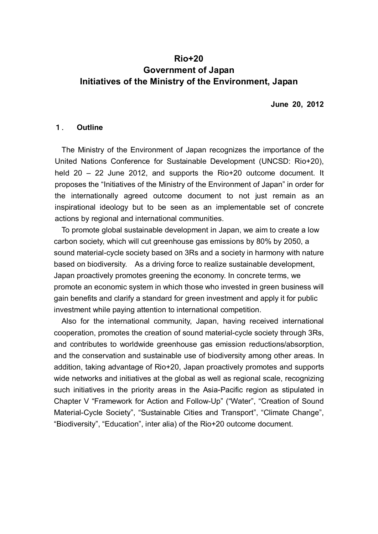## **Rio+20 Government of Japan Initiatives of the Ministry of the Environment, Japan**

**June 20, 2012** 

#### 1. **Outline**

 The Ministry of the Environment of Japan recognizes the importance of the United Nations Conference for Sustainable Development (UNCSD: Rio+20), held 20 – 22 June 2012, and supports the Rio+20 outcome document. It proposes the "Initiatives of the Ministry of the Environment of Japan" in order for the internationally agreed outcome document to not just remain as an inspirational ideology but to be seen as an implementable set of concrete actions by regional and international communities.

 To promote global sustainable development in Japan, we aim to create a low carbon society, which will cut greenhouse gas emissions by 80% by 2050, a sound material-cycle society based on 3Rs and a society in harmony with nature based on biodiversity. As a driving force to realize sustainable development, Japan proactively promotes greening the economy. In concrete terms, we promote an economic system in which those who invested in green business will gain benefits and clarify a standard for green investment and apply it for public investment while paying attention to international competition.

 Also for the international community, Japan, having received international cooperation, promotes the creation of sound material-cycle society through 3Rs, and contributes to worldwide greenhouse gas emission reductions/absorption, and the conservation and sustainable use of biodiversity among other areas. In addition, taking advantage of Rio+20, Japan proactively promotes and supports wide networks and initiatives at the global as well as regional scale, recognizing such initiatives in the priority areas in the Asia-Pacific region as stipulated in Chapter V "Framework for Action and Follow-Up" ("Water", "Creation of Sound Material-Cycle Society", "Sustainable Cities and Transport", "Climate Change", "Biodiversity", "Education", inter alia) of the Rio+20 outcome document.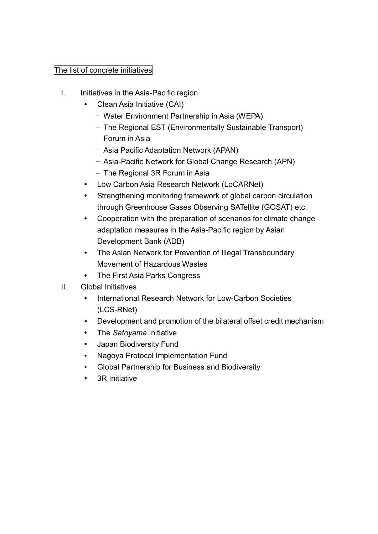## The list of concrete initiatives

- I. Initiatives in the Asia-Pacific region
	- Clean Asia Initiative (CAI)
		- Water Environment Partnership in Asia (WEPA)
		- The Regional EST (Environmentally Sustainable Transport) Forum in Asia
		- Asia Pacific Adaptation Network (APAN)
		- Asia-Pacific Network for Global Change Research (APN)
		- The Regional 3R Forum in Asia
	- Low Carbon Asia Research Network (LoCARNet)
	- Strengthening monitoring framework of global carbon circulation through Greenhouse Gases Observing SATellite (GOSAT) etc.
	- Cooperation with the preparation of scenarios for climate change adaptation measures in the Asia-Pacific region by Asian Development Bank (ADB)
	- The Asian Network for Prevention of Illegal Transboundary Movement of Hazardous Wastes
	- The First Asia Parks Congress
- II. Global Initiatives
	- International Research Network for Low-Carbon Societies (LCS-RNet)
	- Development and promotion of the bilateral offset credit mechanism
	- The *Satoyama* Initiative
	- Japan Biodiversity Fund
	- Nagoya Protocol Implementation Fund
	- Global Partnership for Business and Biodiversity
	- 3R Initiative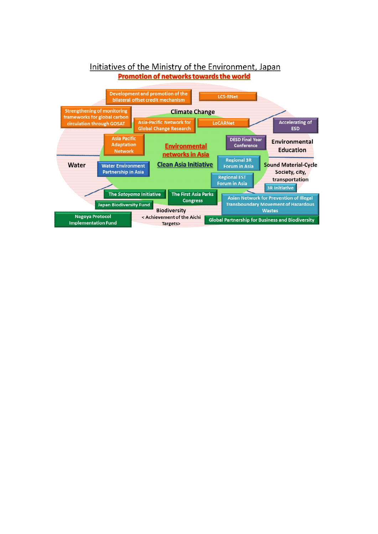

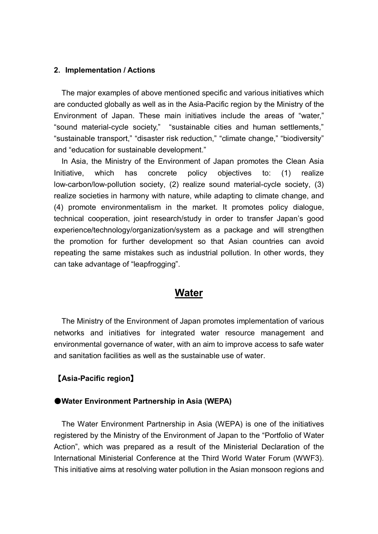#### **2. Implementation / Actions**

 The major examples of above mentioned specific and various initiatives which are conducted globally as well as in the Asia-Pacific region by the Ministry of the Environment of Japan. These main initiatives include the areas of "water," "sound material-cycle society," "sustainable cities and human settlements," "sustainable transport," "disaster risk reduction," "climate change," "biodiversity" and "education for sustainable development."

 In Asia, the Ministry of the Environment of Japan promotes the Clean Asia Initiative, which has concrete policy objectives to: (1) realize low-carbon/low-pollution society, (2) realize sound material-cycle society, (3) realize societies in harmony with nature, while adapting to climate change, and (4) promote environmentalism in the market. It promotes policy dialogue, technical cooperation, joint research/study in order to transfer Japan's good experience/technology/organization/system as a package and will strengthen the promotion for further development so that Asian countries can avoid repeating the same mistakes such as industrial pollution. In other words, they can take advantage of "leapfrogging".

## **Water**

 The Ministry of the Environment of Japan promotes implementation of various networks and initiatives for integrated water resource management and environmental governance of water, with an aim to improve access to safe water and sanitation facilities as well as the sustainable use of water.

#### 【**Asia-Pacific region**】

#### ●**Water Environment Partnership in Asia (WEPA)**

 The Water Environment Partnership in Asia (WEPA) is one of the initiatives registered by the Ministry of the Environment of Japan to the "Portfolio of Water Action", which was prepared as a result of the Ministerial Declaration of the International Ministerial Conference at the Third World Water Forum (WWF3). This initiative aims at resolving water pollution in the Asian monsoon regions and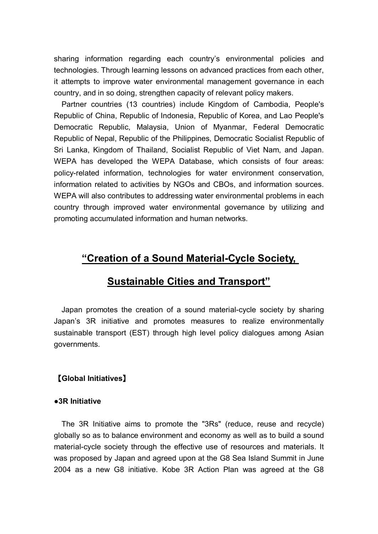sharing information regarding each country's environmental policies and technologies. Through learning lessons on advanced practices from each other, it attempts to improve water environmental management governance in each country, and in so doing, strengthen capacity of relevant policy makers.

 Partner countries (13 countries) include Kingdom of Cambodia, People's Republic of China, Republic of Indonesia, Republic of Korea, and Lao People's Democratic Republic, Malaysia, Union of Myanmar, Federal Democratic Republic of Nepal, Republic of the Philippines, Democratic Socialist Republic of Sri Lanka, Kingdom of Thailand, Socialist Republic of Viet Nam, and Japan. WEPA has developed the WEPA Database, which consists of four areas: policy-related information, technologies for water environment conservation, information related to activities by NGOs and CBOs, and information sources. WEPA will also contributes to addressing water environmental problems in each country through improved water environmental governance by utilizing and promoting accumulated information and human networks.

# **"Creation of a Sound Material-Cycle Society,**

# **Sustainable Cities and Transport"**

 Japan promotes the creation of a sound material-cycle society by sharing Japan's 3R initiative and promotes measures to realize environmentally sustainable transport (EST) through high level policy dialogues among Asian governments.

## 【**Global Initiatives**】

#### **●3R Initiative**

 The 3R Initiative aims to promote the "3Rs" (reduce, reuse and recycle) globally so as to balance environment and economy as well as to build a sound material-cycle society through the effective use of resources and materials. It was proposed by Japan and agreed upon at the G8 Sea Island Summit in June 2004 as a new G8 initiative. Kobe 3R Action Plan was agreed at the G8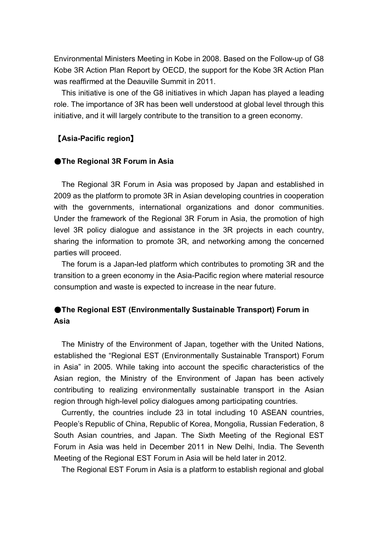Environmental Ministers Meeting in Kobe in 2008. Based on the Follow-up of G8 Kobe 3R Action Plan Report by OECD, the support for the Kobe 3R Action Plan was reaffirmed at the Deauville Summit in 2011.

 This initiative is one of the G8 initiatives in which Japan has played a leading role. The importance of 3R has been well understood at global level through this initiative, and it will largely contribute to the transition to a green economy.

#### 【**Asia-Pacific region**】

#### **OThe Regional 3R Forum in Asia**

 The Regional 3R Forum in Asia was proposed by Japan and established in 2009 as the platform to promote 3R in Asian developing countries in cooperation with the governments, international organizations and donor communities. Under the framework of the Regional 3R Forum in Asia, the promotion of high level 3R policy dialogue and assistance in the 3R projects in each country, sharing the information to promote 3R, and networking among the concerned parties will proceed.

 The forum is a Japan-led platform which contributes to promoting 3R and the transition to a green economy in the Asia-Pacific region where material resource consumption and waste is expected to increase in the near future.

## ●**The Regional EST (Environmentally Sustainable Transport) Forum in Asia**

 The Ministry of the Environment of Japan, together with the United Nations, established the "Regional EST (Environmentally Sustainable Transport) Forum in Asia" in 2005. While taking into account the specific characteristics of the Asian region, the Ministry of the Environment of Japan has been actively contributing to realizing environmentally sustainable transport in the Asian region through high-level policy dialogues among participating countries.

 Currently, the countries include 23 in total including 10 ASEAN countries, People's Republic of China, Republic of Korea, Mongolia, Russian Federation, 8 South Asian countries, and Japan. The Sixth Meeting of the Regional EST Forum in Asia was held in December 2011 in New Delhi, India. The Seventh Meeting of the Regional EST Forum in Asia will be held later in 2012.

The Regional EST Forum in Asia is a platform to establish regional and global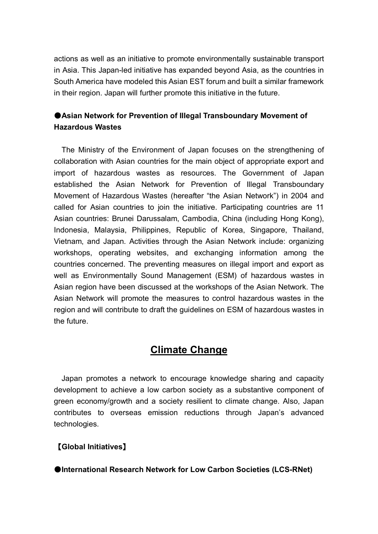actions as well as an initiative to promote environmentally sustainable transport in Asia. This Japan-led initiative has expanded beyond Asia, as the countries in South America have modeled this Asian EST forum and built a similar framework in their region. Japan will further promote this initiative in the future.

## ●**Asian Network for Prevention of Illegal Transboundary Movement of Hazardous Wastes**

 The Ministry of the Environment of Japan focuses on the strengthening of collaboration with Asian countries for the main object of appropriate export and import of hazardous wastes as resources. The Government of Japan established the Asian Network for Prevention of Illegal Transboundary Movement of Hazardous Wastes (hereafter "the Asian Network") in 2004 and called for Asian countries to join the initiative. Participating countries are 11 Asian countries: Brunei Darussalam, Cambodia, China (including Hong Kong), Indonesia, Malaysia, Philippines, Republic of Korea, Singapore, Thailand, Vietnam, and Japan. Activities through the Asian Network include: organizing workshops, operating websites, and exchanging information among the countries concerned. The preventing measures on illegal import and export as well as Environmentally Sound Management (ESM) of hazardous wastes in Asian region have been discussed at the workshops of the Asian Network. The Asian Network will promote the measures to control hazardous wastes in the region and will contribute to draft the guidelines on ESM of hazardous wastes in the future.

# **Climate Change**

 Japan promotes a network to encourage knowledge sharing and capacity development to achieve a low carbon society as a substantive component of green economy/growth and a society resilient to climate change. Also, Japan contributes to overseas emission reductions through Japan's advanced technologies.

## 【**Global Initiatives**】

●**International Research Network for Low Carbon Societies (LCS-RNet)**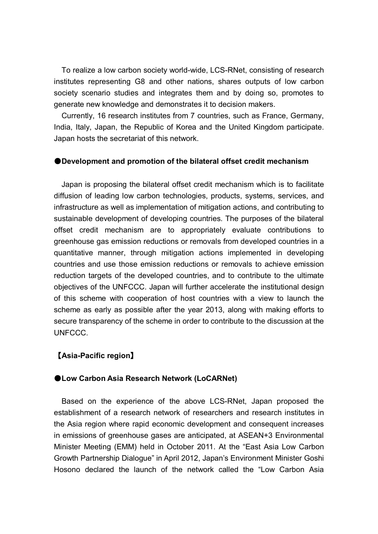To realize a low carbon society world-wide, LCS-RNet, consisting of research institutes representing G8 and other nations, shares outputs of low carbon society scenario studies and integrates them and by doing so, promotes to generate new knowledge and demonstrates it to decision makers.

 Currently, 16 research institutes from 7 countries, such as France, Germany, India, Italy, Japan, the Republic of Korea and the United Kingdom participate. Japan hosts the secretariat of this network.

#### ●**Development and promotion of the bilateral offset credit mechanism**

 Japan is proposing the bilateral offset credit mechanism which is to facilitate diffusion of leading low carbon technologies, products, systems, services, and infrastructure as well as implementation of mitigation actions, and contributing to sustainable development of developing countries. The purposes of the bilateral offset credit mechanism are to appropriately evaluate contributions to greenhouse gas emission reductions or removals from developed countries in a quantitative manner, through mitigation actions implemented in developing countries and use those emission reductions or removals to achieve emission reduction targets of the developed countries, and to contribute to the ultimate objectives of the UNFCCC. Japan will further accelerate the institutional design of this scheme with cooperation of host countries with a view to launch the scheme as early as possible after the year 2013, along with making efforts to secure transparency of the scheme in order to contribute to the discussion at the UNFCCC.

#### 【**Asia-Pacific region**】

#### ●**Low Carbon Asia Research Network (LoCARNet)**

 Based on the experience of the above LCS-RNet, Japan proposed the establishment of a research network of researchers and research institutes in the Asia region where rapid economic development and consequent increases in emissions of greenhouse gases are anticipated, at ASEAN+3 Environmental Minister Meeting (EMM) held in October 2011. At the "East Asia Low Carbon Growth Partnership Dialogue" in April 2012, Japan's Environment Minister Goshi Hosono declared the launch of the network called the "Low Carbon Asia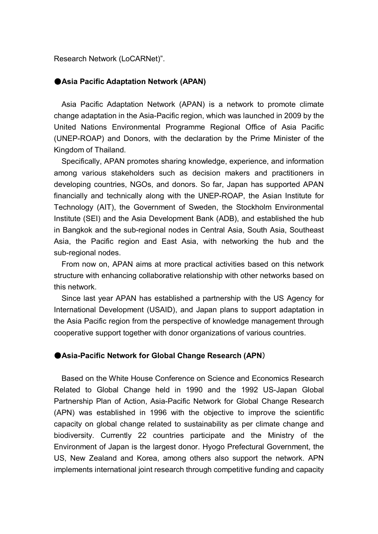Research Network (LoCARNet)".

#### ●**Asia Pacific Adaptation Network (APAN)**

 Asia Pacific Adaptation Network (APAN) is a network to promote climate change adaptation in the Asia-Pacific region, which was launched in 2009 by the United Nations Environmental Programme Regional Office of Asia Pacific (UNEP-ROAP) and Donors, with the declaration by the Prime Minister of the Kingdom of Thailand.

 Specifically, APAN promotes sharing knowledge, experience, and information among various stakeholders such as decision makers and practitioners in developing countries, NGOs, and donors. So far, Japan has supported APAN financially and technically along with the UNEP-ROAP, the Asian Institute for Technology (AIT), the Government of Sweden, the Stockholm Environmental Institute (SEI) and the Asia Development Bank (ADB), and established the hub in Bangkok and the sub-regional nodes in Central Asia, South Asia, Southeast Asia, the Pacific region and East Asia, with networking the hub and the sub-regional nodes.

 From now on, APAN aims at more practical activities based on this network structure with enhancing collaborative relationship with other networks based on this network.

 Since last year APAN has established a partnership with the US Agency for International Development (USAID), and Japan plans to support adaptation in the Asia Pacific region from the perspective of knowledge management through cooperative support together with donor organizations of various countries.

#### ●**Asia-Pacific Network for Global Change Research (APN**)

Based on the White House Conference on Science and Economics Research Related to Global Change held in 1990 and the 1992 US-Japan Global Partnership Plan of Action, Asia-Pacific Network for Global Change Research (APN) was established in 1996 with the objective to improve the scientific capacity on global change related to sustainability as per climate change and biodiversity. Currently 22 countries participate and the Ministry of the Environment of Japan is the largest donor. Hyogo Prefectural Government, the US, New Zealand and Korea, among others also support the network. APN implements international joint research through competitive funding and capacity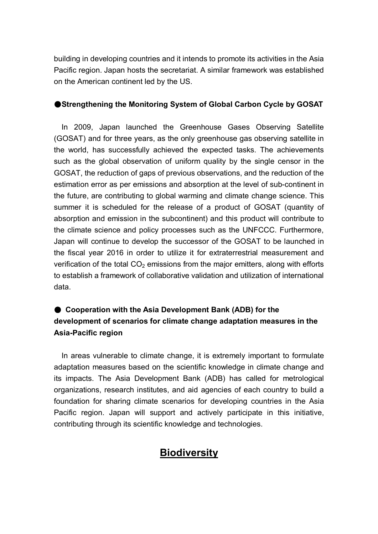building in developing countries and it intends to promote its activities in the Asia Pacific region. Japan hosts the secretariat. A similar framework was established on the American continent led by the US.

## ●**Strengthening the Monitoring System of Global Carbon Cycle by GOSAT**

In 2009, Japan launched the Greenhouse Gases Observing Satellite (GOSAT) and for three years, as the only greenhouse gas observing satellite in the world, has successfully achieved the expected tasks. The achievements such as the global observation of uniform quality by the single censor in the GOSAT, the reduction of gaps of previous observations, and the reduction of the estimation error as per emissions and absorption at the level of sub-continent in the future, are contributing to global warming and climate change science. This summer it is scheduled for the release of a product of GOSAT (quantity of absorption and emission in the subcontinent) and this product will contribute to the climate science and policy processes such as the UNFCCC. Furthermore, Japan will continue to develop the successor of the GOSAT to be launched in the fiscal year 2016 in order to utilize it for extraterrestrial measurement and verification of the total  $CO<sub>2</sub>$  emissions from the major emitters, along with efforts to establish a framework of collaborative validation and utilization of international data.

## ● Cooperation with the Asia Development Bank (ADB) for the **development of scenarios for climate change adaptation measures in the Asia-Pacific region**

In areas vulnerable to climate change, it is extremely important to formulate adaptation measures based on the scientific knowledge in climate change and its impacts. The Asia Development Bank (ADB) has called for metrological organizations, research institutes, and aid agencies of each country to build a foundation for sharing climate scenarios for developing countries in the Asia Pacific region. Japan will support and actively participate in this initiative, contributing through its scientific knowledge and technologies.

# **Biodiversity**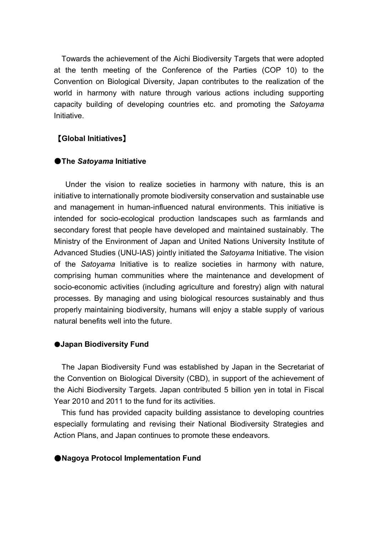Towards the achievement of the Aichi Biodiversity Targets that were adopted at the tenth meeting of the Conference of the Parties (COP 10) to the Convention on Biological Diversity, Japan contributes to the realization of the world in harmony with nature through various actions including supporting capacity building of developing countries etc. and promoting the *Satoyama* **Initiative** 

## 【**Global Initiatives**】

#### ●**The** *Satoyama* **Initiative**

 Under the vision to realize societies in harmony with nature, this is an initiative to internationally promote biodiversity conservation and sustainable use and management in human-influenced natural environments. This initiative is intended for socio-ecological production landscapes such as farmlands and secondary forest that people have developed and maintained sustainably. The Ministry of the Environment of Japan and United Nations University Institute of Advanced Studies (UNU-IAS) jointly initiated the *Satoyama* Initiative. The vision of the *Satoyama* Initiative is to realize societies in harmony with nature, comprising human communities where the maintenance and development of socio-economic activities (including agriculture and forestry) align with natural processes. By managing and using biological resources sustainably and thus properly maintaining biodiversity, humans will enjoy a stable supply of various natural benefits well into the future.

#### ●**Japan Biodiversity Fund**

The Japan Biodiversity Fund was established by Japan in the Secretariat of the Convention on Biological Diversity (CBD), in support of the achievement of the Aichi Biodiversity Targets. Japan contributed 5 billion yen in total in Fiscal Year 2010 and 2011 to the fund for its activities.

This fund has provided capacity building assistance to developing countries especially formulating and revising their National Biodiversity Strategies and Action Plans, and Japan continues to promote these endeavors.

#### ●**Nagoya Protocol Implementation Fund**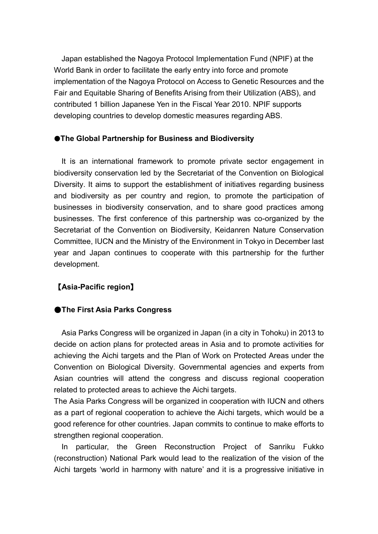Japan established the Nagoya Protocol Implementation Fund (NPIF) at the World Bank in order to facilitate the early entry into force and promote implementation of the Nagoya Protocol on Access to Genetic Resources and the Fair and Equitable Sharing of Benefits Arising from their Utilization (ABS), and contributed 1 billion Japanese Yen in the Fiscal Year 2010. NPIF supports developing countries to develop domestic measures regarding ABS.

#### ●**The Global Partnership for Business and Biodiversity**

It is an international framework to promote private sector engagement in biodiversity conservation led by the Secretariat of the Convention on Biological Diversity. It aims to support the establishment of initiatives regarding business and biodiversity as per country and region, to promote the participation of businesses in biodiversity conservation, and to share good practices among businesses. The first conference of this partnership was co-organized by the Secretariat of the Convention on Biodiversity, Keidanren Nature Conservation Committee, IUCN and the Ministry of the Environment in Tokyo in December last year and Japan continues to cooperate with this partnership for the further development.

## 【**Asia-Pacific region**】

## ●**The First Asia Parks Congress**

 Asia Parks Congress will be organized in Japan (in a city in Tohoku) in 2013 to decide on action plans for protected areas in Asia and to promote activities for achieving the Aichi targets and the Plan of Work on Protected Areas under the Convention on Biological Diversity. Governmental agencies and experts from Asian countries will attend the congress and discuss regional cooperation related to protected areas to achieve the Aichi targets.

The Asia Parks Congress will be organized in cooperation with IUCN and others as a part of regional cooperation to achieve the Aichi targets, which would be a good reference for other countries. Japan commits to continue to make efforts to strengthen regional cooperation.

 In particular, the Green Reconstruction Project of Sanriku Fukko (reconstruction) National Park would lead to the realization of the vision of the Aichi targets 'world in harmony with nature' and it is a progressive initiative in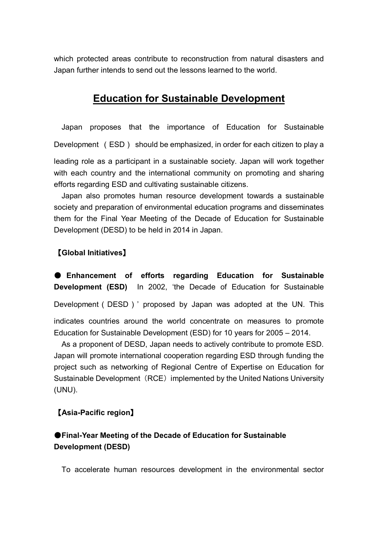which protected areas contribute to reconstruction from natural disasters and Japan further intends to send out the lessons learned to the world.

# **Education for Sustainable Development**

 Japan proposes that the importance of Education for Sustainable Development (ESD) should be emphasized, in order for each citizen to play a leading role as a participant in a sustainable society. Japan will work together with each country and the international community on promoting and sharing efforts regarding ESD and cultivating sustainable citizens.

 Japan also promotes human resource development towards a sustainable society and preparation of environmental education programs and disseminates them for the Final Year Meeting of the Decade of Education for Sustainable Development (DESD) to be held in 2014 in Japan.

## 【**Global Initiatives**】

● **Enhancement of efforts regarding Education for Sustainable Development (ESD)** In 2002, 'the Decade of Education for Sustainable

Development (DESD)' proposed by Japan was adopted at the UN. This

indicates countries around the world concentrate on measures to promote Education for Sustainable Development (ESD) for 10 years for 2005 – 2014.

 As a proponent of DESD, Japan needs to actively contribute to promote ESD. Japan will promote international cooperation regarding ESD through funding the project such as networking of Regional Centre of Expertise on Education for Sustainable Development (RCE) implemented by the United Nations University (UNU).

## 【**Asia-Pacific region**】

## ●**Final-Year Meeting of the Decade of Education for Sustainable Development (DESD)**

To accelerate human resources development in the environmental sector